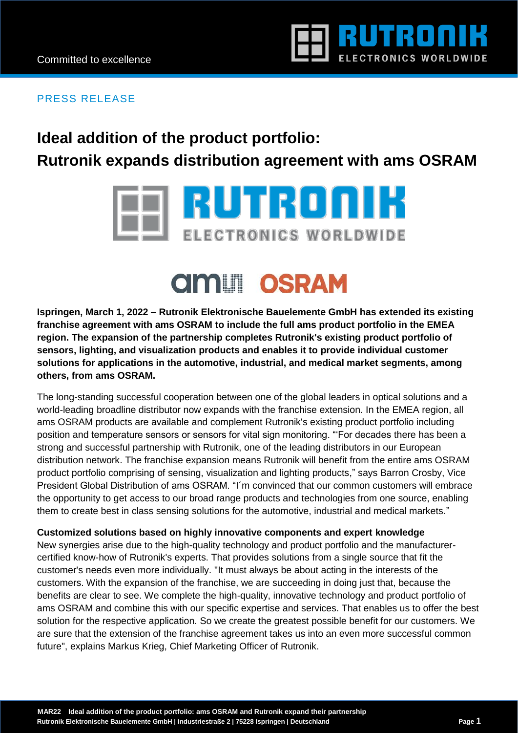

### PRESS RELEASE

### **Ideal addition of the product portfolio: Rutronik expands distribution agreement with ams OSRAM**

# **TRUTRONIK** ELECTRONICS WORLDWIDE

## **AMIT OSRAM**

**Ispringen, March 1, 2022 – Rutronik Elektronische Bauelemente GmbH has extended its existing franchise agreement with ams OSRAM to include the full ams product portfolio in the EMEA region. The expansion of the partnership completes Rutronik's existing product portfolio of sensors, lighting, and visualization products and enables it to provide individual customer solutions for applications in the automotive, industrial, and medical market segments, among others, from ams OSRAM.** 

The long-standing successful cooperation between one of the global leaders in optical solutions and a world-leading broadline distributor now expands with the franchise extension. In the EMEA region, all ams OSRAM products are available and complement Rutronik's existing product portfolio including position and temperature sensors or sensors for vital sign monitoring. "'For decades there has been a strong and successful partnership with Rutronik, one of the leading distributors in our European distribution network. The franchise expansion means Rutronik will benefit from the entire ams OSRAM product portfolio comprising of sensing, visualization and lighting products," says Barron Crosby, Vice President Global Distribution of ams OSRAM. "I´m convinced that our common customers will embrace the opportunity to get access to our broad range products and technologies from one source, enabling them to create best in class sensing solutions for the automotive, industrial and medical markets."

#### **Customized solutions based on highly innovative components and expert knowledge**

New synergies arise due to the high-quality technology and product portfolio and the manufacturercertified know-how of Rutronik's experts. That provides solutions from a single source that fit the customer's needs even more individually. "It must always be about acting in the interests of the customers. With the expansion of the franchise, we are succeeding in doing just that, because the benefits are clear to see. We complete the high-quality, innovative technology and product portfolio of ams OSRAM and combine this with our specific expertise and services. That enables us to offer the best solution for the respective application. So we create the greatest possible benefit for our customers. We are sure that the extension of the franchise agreement takes us into an even more successful common future", explains Markus Krieg, Chief Marketing Officer of Rutronik.